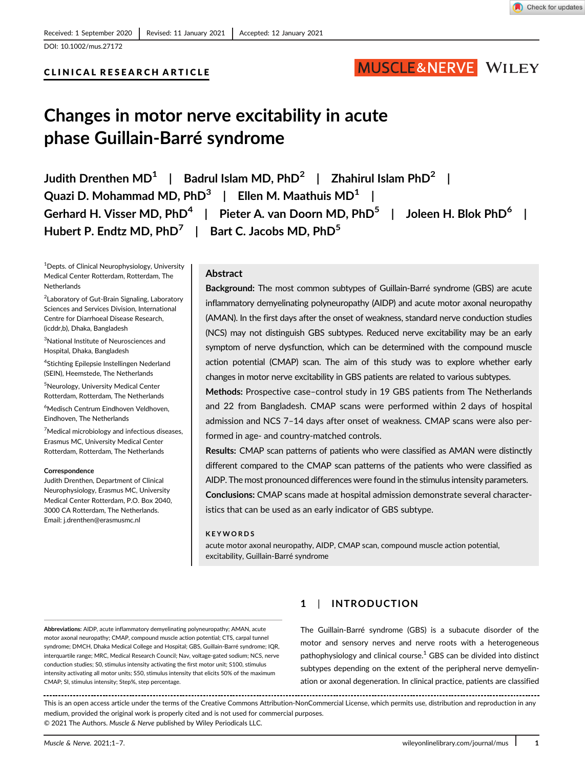# CLINICAL RESEARCH ARTICLE

# MUSCLE&NERVE WILEY

# Changes in motor nerve excitability in acute phase Guillain-Barré syndrome

Judith Drenthen MD<sup>1</sup> | Badrul Islam MD, PhD<sup>2</sup> | Zhahirul Islam PhD<sup>2</sup> | Quazi D. Mohammad MD,  $PhD^3$  | Ellen M. Maathuis MD<sup>1</sup> | Gerhard H. Visser MD, PhD<sup>4</sup> | Pieter A. van Doorn MD, PhD<sup>5</sup> | Joleen H. Blok PhD<sup>6</sup> | Hubert P. Endtz MD,  $PhD^7$  | Bart C. Jacobs MD,  $PhD^5$ 

<sup>1</sup>Depts. of Clinical Neurophysiology, University Medical Center Rotterdam, Rotterdam, The Netherlands

<sup>2</sup> Laboratory of Gut-Brain Signaling, Laboratory Sciences and Services Division, International Centre for Diarrhoeal Disease Research, (icddr,b), Dhaka, Bangladesh

<sup>3</sup>National Institute of Neurosciences and Hospital, Dhaka, Bangladesh

<sup>4</sup>Stichting Epilepsie Instellingen Nederland (SEIN), Heemstede, The Netherlands

5 Neurology, University Medical Center Rotterdam, Rotterdam, The Netherlands

6 Medisch Centrum Eindhoven Veldhoven, Eindhoven, The Netherlands

<sup>7</sup>Medical microbiology and infectious diseases, Erasmus MC, University Medical Center Rotterdam, Rotterdam, The Netherlands

#### **Correspondence**

Judith Drenthen, Department of Clinical Neurophysiology, Erasmus MC, University Medical Center Rotterdam, P.O. Box 2040, 3000 CA Rotterdam, The Netherlands. Email: [j.drenthen@erasmusmc.nl](mailto:j.drenthen@erasmusmc.nl)

#### Abstract

Background: The most common subtypes of Guillain-Barré syndrome (GBS) are acute inflammatory demyelinating polyneuropathy (AIDP) and acute motor axonal neuropathy (AMAN). In the first days after the onset of weakness, standard nerve conduction studies (NCS) may not distinguish GBS subtypes. Reduced nerve excitability may be an early symptom of nerve dysfunction, which can be determined with the compound muscle action potential (CMAP) scan. The aim of this study was to explore whether early changes in motor nerve excitability in GBS patients are related to various subtypes.

Methods: Prospective case–control study in 19 GBS patients from The Netherlands and 22 from Bangladesh. CMAP scans were performed within 2 days of hospital admission and NCS 7–14 days after onset of weakness. CMAP scans were also performed in age- and country-matched controls.

Results: CMAP scan patterns of patients who were classified as AMAN were distinctly different compared to the CMAP scan patterns of the patients who were classified as AIDP. The most pronounced differences were found in the stimulus intensity parameters. Conclusions: CMAP scans made at hospital admission demonstrate several character-

istics that can be used as an early indicator of GBS subtype.

#### KEYWORDS

acute motor axonal neuropathy, AIDP, CMAP scan, compound muscle action potential, excitability, Guillain-Barré syndrome

Abbreviations: AIDP, acute inflammatory demyelinating polyneuropathy; AMAN, acute motor axonal neuropathy; CMAP, compound muscle action potential; CTS, carpal tunnel syndrome; DMCH, Dhaka Medical College and Hospital; GBS, Guillain-Barré syndrome; IQR, interquartile range; MRC, Medical Research Council; Nav, voltage-gated sodium; NCS, nerve conduction studies; S0, stimulus intensity activating the first motor unit; S100, stimulus intensity activating all motor units; S50, stimulus intensity that elicits 50% of the maximum CMAP; SI, stimulus intensity; Step%, step percentage.

# 1 | INTRODUCTION

The Guillain-Barré syndrome (GBS) is a subacute disorder of the motor and sensory nerves and nerve roots with a heterogeneous pathophysiology and clinical course. $1$  GBS can be divided into distinct subtypes depending on the extent of the peripheral nerve demyelination or axonal degeneration. In clinical practice, patients are classified

This is an open access article under the terms of the [Creative Commons Attribution-NonCommercial](http://creativecommons.org/licenses/by-nc/4.0/) License, which permits use, distribution and reproduction in any medium, provided the original work is properly cited and is not used for commercial purposes. © 2021 The Authors. Muscle & Nerve published by Wiley Periodicals LLC.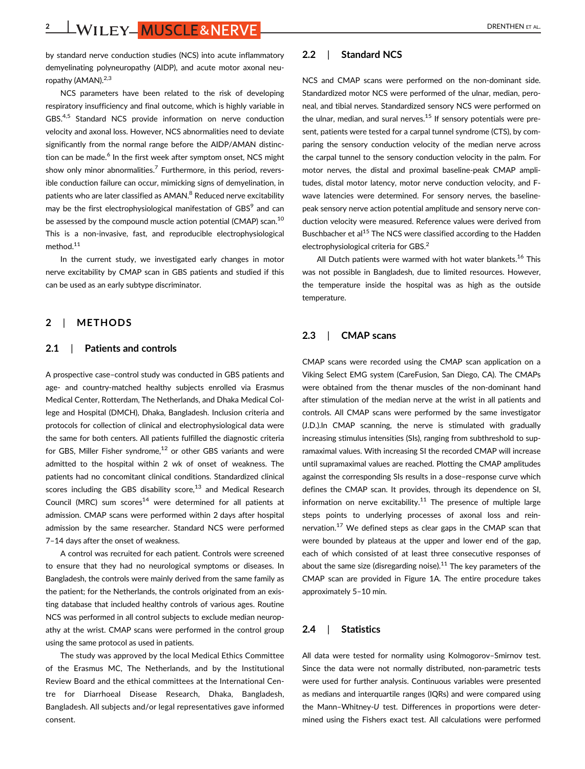2 | WILEY | MUSCLE& NERVE | DRENTHEN ET AL.

by standard nerve conduction studies (NCS) into acute inflammatory demyelinating polyneuropathy (AIDP), and acute motor axonal neuropathy (AMAN).<sup>2,3</sup>

NCS parameters have been related to the risk of developing respiratory insufficiency and final outcome, which is highly variable in GBS.4,5 Standard NCS provide information on nerve conduction velocity and axonal loss. However, NCS abnormalities need to deviate significantly from the normal range before the AIDP/AMAN distinction can be made.<sup>6</sup> In the first week after symptom onset, NCS might show only minor abnormalities.<sup>7</sup> Furthermore, in this period, reversible conduction failure can occur, mimicking signs of demyelination, in patients who are later classified as AMAN.<sup>8</sup> Reduced nerve excitability may be the first electrophysiological manifestation of GBS<sup>9</sup> and can be assessed by the compound muscle action potential (CMAP) scan.<sup>10</sup> This is a non-invasive, fast, and reproducible electrophysiological method.<sup>11</sup>

In the current study, we investigated early changes in motor nerve excitability by CMAP scan in GBS patients and studied if this can be used as an early subtype discriminator.

#### 2 | METHODS

#### 2.1 | Patients and controls

A prospective case–control study was conducted in GBS patients and age- and country-matched healthy subjects enrolled via Erasmus Medical Center, Rotterdam, The Netherlands, and Dhaka Medical College and Hospital (DMCH), Dhaka, Bangladesh. Inclusion criteria and protocols for collection of clinical and electrophysiological data were the same for both centers. All patients fulfilled the diagnostic criteria for GBS, Miller Fisher syndrome, $12$  or other GBS variants and were admitted to the hospital within 2 wk of onset of weakness. The patients had no concomitant clinical conditions. Standardized clinical scores including the GBS disability score, $13$  and Medical Research Council (MRC) sum scores<sup>14</sup> were determined for all patients at admission. CMAP scans were performed within 2 days after hospital admission by the same researcher. Standard NCS were performed 7–14 days after the onset of weakness.

A control was recruited for each patient. Controls were screened to ensure that they had no neurological symptoms or diseases. In Bangladesh, the controls were mainly derived from the same family as the patient; for the Netherlands, the controls originated from an existing database that included healthy controls of various ages. Routine NCS was performed in all control subjects to exclude median neuropathy at the wrist. CMAP scans were performed in the control group using the same protocol as used in patients.

The study was approved by the local Medical Ethics Committee of the Erasmus MC, The Netherlands, and by the Institutional Review Board and the ethical committees at the International Centre for Diarrhoeal Disease Research, Dhaka, Bangladesh, Bangladesh. All subjects and/or legal representatives gave informed consent.

## 2.2 | Standard NCS

NCS and CMAP scans were performed on the non-dominant side. Standardized motor NCS were performed of the ulnar, median, peroneal, and tibial nerves. Standardized sensory NCS were performed on the ulnar, median, and sural nerves. $15$  If sensory potentials were present, patients were tested for a carpal tunnel syndrome (CTS), by comparing the sensory conduction velocity of the median nerve across the carpal tunnel to the sensory conduction velocity in the palm. For motor nerves, the distal and proximal baseline-peak CMAP amplitudes, distal motor latency, motor nerve conduction velocity, and Fwave latencies were determined. For sensory nerves, the baselinepeak sensory nerve action potential amplitude and sensory nerve conduction velocity were measured. Reference values were derived from Buschbacher et al<sup>15</sup> The NCS were classified according to the Hadden electrophysiological criteria for GBS.<sup>2</sup>

All Dutch patients were warmed with hot water blankets.<sup>16</sup> This was not possible in Bangladesh, due to limited resources. However, the temperature inside the hospital was as high as the outside temperature.

# 2.3 | CMAP scans

CMAP scans were recorded using the CMAP scan application on a Viking Select EMG system (CareFusion, San Diego, CA). The CMAPs were obtained from the thenar muscles of the non-dominant hand after stimulation of the median nerve at the wrist in all patients and controls. All CMAP scans were performed by the same investigator (J.D.).In CMAP scanning, the nerve is stimulated with gradually increasing stimulus intensities (SIs), ranging from subthreshold to supramaximal values. With increasing SI the recorded CMAP will increase until supramaximal values are reached. Plotting the CMAP amplitudes against the corresponding SIs results in a dose–response curve which defines the CMAP scan. It provides, through its dependence on SI, information on nerve excitability. $11$  The presence of multiple large steps points to underlying processes of axonal loss and reinnervation.<sup>17</sup> We defined steps as clear gaps in the CMAP scan that were bounded by plateaus at the upper and lower end of the gap, each of which consisted of at least three consecutive responses of about the same size (disregarding noise).<sup>11</sup> The key parameters of the CMAP scan are provided in Figure 1A. The entire procedure takes approximately 5–10 min.

## 2.4 | Statistics

All data were tested for normality using Kolmogorov–Smirnov test. Since the data were not normally distributed, non-parametric tests were used for further analysis. Continuous variables were presented as medians and interquartile ranges (IQRs) and were compared using the Mann–Whitney-U test. Differences in proportions were determined using the Fishers exact test. All calculations were performed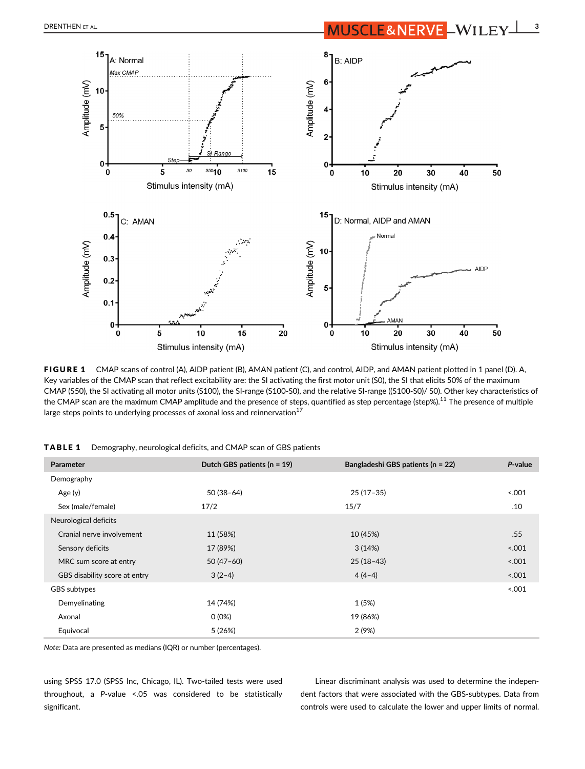

FIGURE 1 CMAP scans of control (A), AIDP patient (B), AMAN patient (C), and control, AIDP, and AMAN patient plotted in 1 panel (D). A, Key variables of the CMAP scan that reflect excitability are: the SI activating the first motor unit (S0), the SI that elicits 50% of the maximum CMAP (S50), the SI activating all motor units (S100), the SI-range (S100-S0), and the relative SI-range ((S100-S0)/ S0). Other key characteristics of the CMAP scan are the maximum CMAP amplitude and the presence of steps, quantified as step percentage (step%).<sup>11</sup> The presence of multiple large steps points to underlying processes of axonal loss and reinnervation<sup>17</sup>

| <b>Parameter</b>              | Dutch GBS patients ( $n = 19$ ) | Bangladeshi GBS patients (n = 22) | P-value |
|-------------------------------|---------------------------------|-----------------------------------|---------|
| Demography                    |                                 |                                   |         |
| Age (y)                       | $50(38-64)$                     | $25(17-35)$                       | 5001    |
| Sex (male/female)             | 17/2                            | 15/7                              | .10     |
| Neurological deficits         |                                 |                                   |         |
| Cranial nerve involvement     | 11 (58%)                        | 10 (45%)                          | .55     |
| Sensory deficits              | 17 (89%)                        | 3(14%)                            | 5001    |
| MRC sum score at entry        | $50(47-60)$                     | $25(18-43)$                       | 5001    |
| GBS disability score at entry | $3(2-4)$                        | $4(4-4)$                          | 5001    |
| GBS subtypes                  |                                 |                                   | 5.001   |
| Demyelinating                 | 14 (74%)                        | 1 (5%)                            |         |
| Axonal                        | $0(0\%)$                        | 19 (86%)                          |         |
| Equivocal                     | 5(26%)                          | 2(9%)                             |         |

TABLE 1 Demography, neurological deficits, and CMAP scan of GBS patients

Note: Data are presented as medians (IQR) or number (percentages).

using SPSS 17.0 (SPSS Inc, Chicago, IL). Two-tailed tests were used throughout, a P-value <.05 was considered to be statistically significant.

Linear discriminant analysis was used to determine the independent factors that were associated with the GBS-subtypes. Data from controls were used to calculate the lower and upper limits of normal.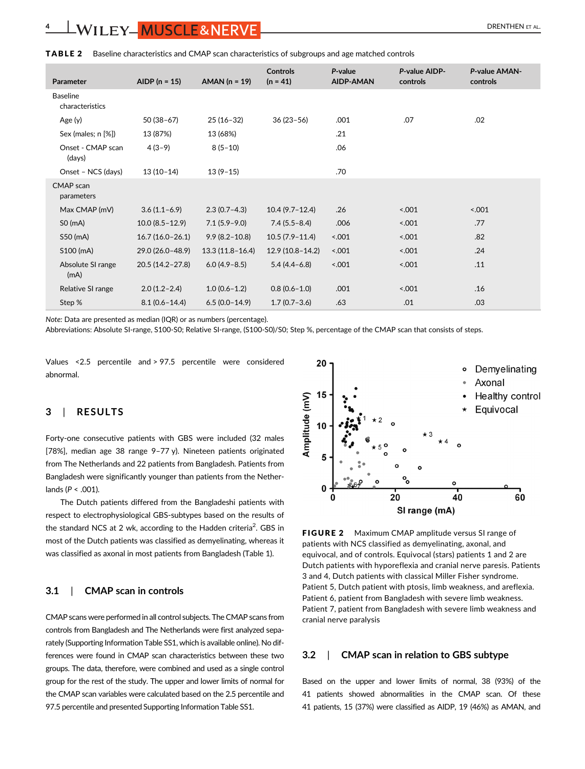| Parameter                          | AIDP $(n = 15)$     | $AMAN (n = 19)$     | <b>Controls</b><br>$(n = 41)$ | P-value<br><b>AIDP-AMAN</b> | P-value AIDP-<br>controls | P-value AMAN-<br>controls |
|------------------------------------|---------------------|---------------------|-------------------------------|-----------------------------|---------------------------|---------------------------|
| <b>Baseline</b><br>characteristics |                     |                     |                               |                             |                           |                           |
| Age (y)                            | $50(38-67)$         | $25(16-32)$         | $36(23-56)$                   | .001                        | .07                       | .02                       |
| Sex (males; n [%])                 | 13 (87%)            | 13 (68%)            |                               | .21                         |                           |                           |
| Onset - CMAP scan<br>(days)        | $4(3-9)$            | $8(5-10)$           |                               | .06                         |                           |                           |
| Onset - NCS (days)                 | $13(10-14)$         | $13(9-15)$          |                               | .70                         |                           |                           |
| CMAP scan<br>parameters            |                     |                     |                               |                             |                           |                           |
| Max CMAP (mV)                      | $3.6(1.1-6.9)$      | $2.3(0.7-4.3)$      | $10.4(9.7-12.4)$              | .26                         | 5.001                     | < .001                    |
| SO(mA)                             | $10.0(8.5-12.9)$    | $7.1(5.9 - 9.0)$    | $7.4(5.5 - 8.4)$              | .006                        | 5.001                     | .77                       |
| S50 (mA)                           | $16.7(16.0-26.1)$   | $9.9(8.2 - 10.8)$   | $10.5(7.9 - 11.4)$            | 5001                        | 5.001                     | .82                       |
| S100 (mA)                          | 29.0 (26.0-48.9)    | $13.3(11.8 - 16.4)$ | 12.9 (10.8-14.2)              | 5001                        | 5.001                     | .24                       |
| Absolute SI range<br>(mA)          | $20.5(14.2 - 27.8)$ | $6.0(4.9 - 8.5)$    | $5.4(4.4-6.8)$                | 001                         | 5.001                     | .11                       |
| Relative SI range                  | $2.0(1.2 - 2.4)$    | $1.0(0.6-1.2)$      | $0.8(0.6 - 1.0)$              | .001                        | 5.001                     | .16                       |
| Step %                             | $8.1(0.6 - 14.4)$   | $6.5(0.0-14.9)$     | $1.7(0.7 - 3.6)$              | .63                         | .01                       | .03                       |

**TABLE 2** Baseline characteristics and CMAP scan characteristics of subgroups and age matched controls

Note: Data are presented as median (IQR) or as numbers (percentage).

Abbreviations: Absolute SI-range, S100-S0; Relative SI-range, (S100-S0)/S0; Step %, percentage of the CMAP scan that consists of steps.

Values <2.5 percentile and > 97.5 percentile were considered abnormal.

# 3 | RESULTS

Forty-one consecutive patients with GBS were included (32 males [78%], median age 38 range 9–77 y). Nineteen patients originated from The Netherlands and 22 patients from Bangladesh. Patients from Bangladesh were significantly younger than patients from the Netherlands ( $P < .001$ ).

The Dutch patients differed from the Bangladeshi patients with respect to electrophysiological GBS-subtypes based on the results of the standard NCS at 2 wk, according to the Hadden criteria<sup>2</sup>. GBS in most of the Dutch patients was classified as demyelinating, whereas it was classified as axonal in most patients from Bangladesh (Table 1).

# 3.1 | CMAP scan in controls

CMAP scans were performed in all control subjects. The CMAP scans from controls from Bangladesh and The Netherlands were first analyzed separately (Supporting Information Table SS1, which is available online). No differences were found in CMAP scan characteristics between these two groups. The data, therefore, were combined and used as a single control group for the rest of the study. The upper and lower limits of normal for the CMAP scan variables were calculated based on the 2.5 percentile and 97.5 percentile and presented Supporting Information Table SS1.



FIGURE 2 Maximum CMAP amplitude versus SI range of patients with NCS classified as demyelinating, axonal, and equivocal, and of controls. Equivocal (stars) patients 1 and 2 are Dutch patients with hyporeflexia and cranial nerve paresis. Patients 3 and 4, Dutch patients with classical Miller Fisher syndrome. Patient 5, Dutch patient with ptosis, limb weakness, and areflexia. Patient 6, patient from Bangladesh with severe limb weakness. Patient 7, patient from Bangladesh with severe limb weakness and cranial nerve paralysis

# 3.2 | CMAP scan in relation to GBS subtype

Based on the upper and lower limits of normal, 38 (93%) of the 41 patients showed abnormalities in the CMAP scan. Of these 41 patients, 15 (37%) were classified as AIDP, 19 (46%) as AMAN, and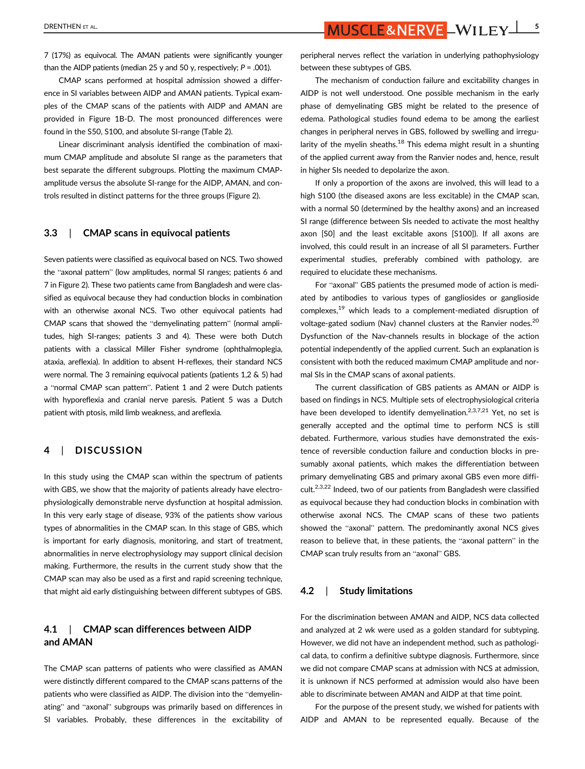DRENTHEN ET AL. **SPENTHEN ET AL.** 5

7 (17%) as equivocal. The AMAN patients were significantly younger than the AIDP patients (median 25 y and 50 y, respectively;  $P = .001$ ).

CMAP scans performed at hospital admission showed a difference in SI variables between AIDP and AMAN patients. Typical examples of the CMAP scans of the patients with AIDP and AMAN are provided in Figure 1B-D. The most pronounced differences were found in the S50, S100, and absolute SI-range (Table 2).

Linear discriminant analysis identified the combination of maximum CMAP amplitude and absolute SI range as the parameters that best separate the different subgroups. Plotting the maximum CMAPamplitude versus the absolute SI-range for the AIDP, AMAN, and controls resulted in distinct patterns for the three groups (Figure 2).

#### 3.3 | CMAP scans in equivocal patients

Seven patients were classified as equivocal based on NCS. Two showed the "axonal pattern" (low amplitudes, normal SI ranges; patients 6 and 7 in Figure 2). These two patients came from Bangladesh and were classified as equivocal because they had conduction blocks in combination with an otherwise axonal NCS. Two other equivocal patients had CMAP scans that showed the "demyelinating pattern" (normal amplitudes, high SI-ranges; patients 3 and 4). These were both Dutch patients with a classical Miller Fisher syndrome (ophthalmoplegia, ataxia, areflexia). In addition to absent H-reflexes, their standard NCS were normal. The 3 remaining equivocal patients (patients 1,2 & 5) had a "normal CMAP scan pattern". Patient 1 and 2 were Dutch patients with hyporeflexia and cranial nerve paresis. Patient 5 was a Dutch patient with ptosis, mild limb weakness, and areflexia.

# 4 | DISCUSSION

In this study using the CMAP scan within the spectrum of patients with GBS, we show that the majority of patients already have electrophysiologically demonstrable nerve dysfunction at hospital admission. In this very early stage of disease, 93% of the patients show various types of abnormalities in the CMAP scan. In this stage of GBS, which is important for early diagnosis, monitoring, and start of treatment, abnormalities in nerve electrophysiology may support clinical decision making. Furthermore, the results in the current study show that the CMAP scan may also be used as a first and rapid screening technique, that might aid early distinguishing between different subtypes of GBS.

# 4.1 | CMAP scan differences between AIDP and AMAN

The CMAP scan patterns of patients who were classified as AMAN were distinctly different compared to the CMAP scans patterns of the patients who were classified as AIDP. The division into the "demyelinating" and "axonal" subgroups was primarily based on differences in SI variables. Probably, these differences in the excitability of peripheral nerves reflect the variation in underlying pathophysiology between these subtypes of GBS.

The mechanism of conduction failure and excitability changes in AIDP is not well understood. One possible mechanism in the early phase of demyelinating GBS might be related to the presence of edema. Pathological studies found edema to be among the earliest changes in peripheral nerves in GBS, followed by swelling and irregularity of the myelin sheaths. $^{18}$  This edema might result in a shunting of the applied current away from the Ranvier nodes and, hence, result in higher SIs needed to depolarize the axon.

If only a proportion of the axons are involved, this will lead to a high S100 (the diseased axons are less excitable) in the CMAP scan, with a normal S0 (determined by the healthy axons) and an increased SI range (difference between SIs needed to activate the most healthy axon [S0] and the least excitable axons [S100]). If all axons are involved, this could result in an increase of all SI parameters. Further experimental studies, preferably combined with pathology, are required to elucidate these mechanisms.

For "axonal" GBS patients the presumed mode of action is mediated by antibodies to various types of gangliosides or ganglioside complexes,19 which leads to a complement-mediated disruption of voltage-gated sodium (Nav) channel clusters at the Ranvier nodes.<sup>20</sup> Dysfunction of the Nav-channels results in blockage of the action potential independently of the applied current. Such an explanation is consistent with both the reduced maximum CMAP amplitude and normal SIs in the CMAP scans of axonal patients.

The current classification of GBS patients as AMAN or AIDP is based on findings in NCS. Multiple sets of electrophysiological criteria have been developed to identify demyelination.<sup>2,3,7,21</sup> Yet, no set is generally accepted and the optimal time to perform NCS is still debated. Furthermore, various studies have demonstrated the existence of reversible conduction failure and conduction blocks in presumably axonal patients, which makes the differentiation between primary demyelinating GBS and primary axonal GBS even more difficult.2,3,22 Indeed, two of our patients from Bangladesh were classified as equivocal because they had conduction blocks in combination with otherwise axonal NCS. The CMAP scans of these two patients showed the "axonal" pattern. The predominantly axonal NCS gives reason to believe that, in these patients, the "axonal pattern" in the CMAP scan truly results from an "axonal" GBS.

## 4.2 | Study limitations

For the discrimination between AMAN and AIDP, NCS data collected and analyzed at 2 wk were used as a golden standard for subtyping. However, we did not have an independent method, such as pathological data, to confirm a definitive subtype diagnosis. Furthermore, since we did not compare CMAP scans at admission with NCS at admission, it is unknown if NCS performed at admission would also have been able to discriminate between AMAN and AIDP at that time point.

For the purpose of the present study, we wished for patients with AIDP and AMAN to be represented equally. Because of the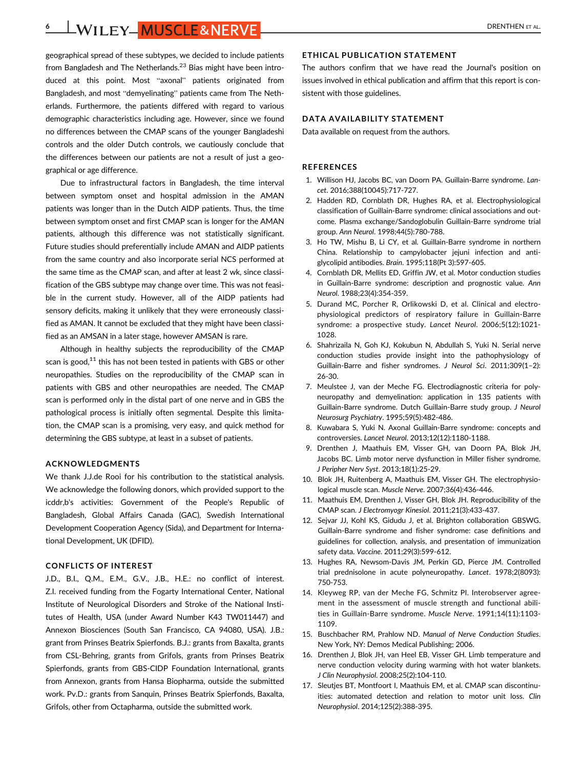6 | WILEY | MUSCLE& NERVE | DRENTHEN ET AL.

geographical spread of these subtypes, we decided to include patients from Bangladesh and The Netherlands. $^{23}$  Bias might have been introduced at this point. Most "axonal" patients originated from Bangladesh, and most "demyelinating" patients came from The Netherlands. Furthermore, the patients differed with regard to various demographic characteristics including age. However, since we found no differences between the CMAP scans of the younger Bangladeshi controls and the older Dutch controls, we cautiously conclude that the differences between our patients are not a result of just a geographical or age difference.

Due to infrastructural factors in Bangladesh, the time interval between symptom onset and hospital admission in the AMAN patients was longer than in the Dutch AIDP patients. Thus, the time between symptom onset and first CMAP scan is longer for the AMAN patients, although this difference was not statistically significant. Future studies should preferentially include AMAN and AIDP patients from the same country and also incorporate serial NCS performed at the same time as the CMAP scan, and after at least 2 wk, since classification of the GBS subtype may change over time. This was not feasible in the current study. However, all of the AIDP patients had sensory deficits, making it unlikely that they were erroneously classified as AMAN. It cannot be excluded that they might have been classified as an AMSAN in a later stage, however AMSAN is rare.

Although in healthy subjects the reproducibility of the CMAP scan is good, $11$  this has not been tested in patients with GBS or other neuropathies. Studies on the reproducibility of the CMAP scan in patients with GBS and other neuropathies are needed. The CMAP scan is performed only in the distal part of one nerve and in GBS the pathological process is initially often segmental. Despite this limitation, the CMAP scan is a promising, very easy, and quick method for determining the GBS subtype, at least in a subset of patients.

#### ACKNOWLEDGMENTS

We thank J.J.de Rooi for his contribution to the statistical analysis. We acknowledge the following donors, which provided support to the icddr,b's activities: Government of the People's Republic of Bangladesh, Global Affairs Canada (GAC), Swedish International Development Cooperation Agency (Sida), and Department for International Development, UK (DFID).

# CONFLICTS OF INTEREST

J.D., B.I., Q.M., E.M., G.V., J.B., H.E.: no conflict of interest. Z.I. received funding from the Fogarty International Center, National Institute of Neurological Disorders and Stroke of the National Institutes of Health, USA (under Award Number K43 TW011447) and Annexon Biosciences (South San Francisco, CA 94080, USA). J.B.: grant from Prinses Beatrix Spierfonds. B.J.: grants from Baxalta, grants from CSL-Behring, grants from Grifols, grants from Prinses Beatrix Spierfonds, grants from GBS-CIDP Foundation International, grants from Annexon, grants from Hansa Biopharma, outside the submitted work. Pv.D.: grants from Sanquin, Prinses Beatrix Spierfonds, Baxalta, Grifols, other from Octapharma, outside the submitted work.

# ETHICAL PUBLICATION STATEMENT

The authors confirm that we have read the Journal's position on issues involved in ethical publication and affirm that this report is consistent with those guidelines.

#### DATA AVAILABILITY STATEMENT

Data available on request from the authors.

#### REFERENCES

- 1. Willison HJ, Jacobs BC, van Doorn PA. Guillain-Barre syndrome. Lancet. 2016;388(10045):717-727.
- 2. Hadden RD, Cornblath DR, Hughes RA, et al. Electrophysiological classification of Guillain-Barre syndrome: clinical associations and outcome. Plasma exchange/Sandoglobulin Guillain-Barre syndrome trial group. Ann Neurol. 1998;44(5):780-788.
- 3. Ho TW, Mishu B, Li CY, et al. Guillain-Barre syndrome in northern China. Relationship to campylobacter jejuni infection and antiglycolipid antibodies. Brain. 1995;118(Pt 3):597-605.
- 4. Cornblath DR, Mellits ED, Griffin JW, et al. Motor conduction studies in Guillain-Barre syndrome: description and prognostic value. Ann Neurol. 1988;23(4):354-359.
- 5. Durand MC, Porcher R, Orlikowski D, et al. Clinical and electrophysiological predictors of respiratory failure in Guillain-Barre syndrome: a prospective study. Lancet Neurol. 2006;5(12):1021- 1028.
- 6. Shahrizaila N, Goh KJ, Kokubun N, Abdullah S, Yuki N. Serial nerve conduction studies provide insight into the pathophysiology of Guillain-Barre and fisher syndromes. J Neurol Sci. 2011;309(1–2): 26-30.
- 7. Meulstee J, van der Meche FG. Electrodiagnostic criteria for polyneuropathy and demyelination: application in 135 patients with Guillain-Barre syndrome. Dutch Guillain-Barre study group. J Neurol Neurosurg Psychiatry. 1995;59(5):482-486.
- 8. Kuwabara S, Yuki N. Axonal Guillain-Barre syndrome: concepts and controversies. Lancet Neurol. 2013;12(12):1180-1188.
- 9. Drenthen J, Maathuis EM, Visser GH, van Doorn PA, Blok JH, Jacobs BC. Limb motor nerve dysfunction in Miller fisher syndrome. J Peripher Nerv Syst. 2013;18(1):25-29.
- 10. Blok JH, Ruitenberg A, Maathuis EM, Visser GH. The electrophysiological muscle scan. Muscle Nerve. 2007;36(4):436-446.
- 11. Maathuis EM, Drenthen J, Visser GH, Blok JH. Reproducibility of the CMAP scan. J Electromyogr Kinesiol. 2011;21(3):433-437.
- 12. Sejvar JJ, Kohl KS, Gidudu J, et al. Brighton collaboration GBSWG. Guillain-Barre syndrome and fisher syndrome: case definitions and guidelines for collection, analysis, and presentation of immunization safety data. Vaccine. 2011;29(3):599-612.
- 13. Hughes RA, Newsom-Davis JM, Perkin GD, Pierce JM. Controlled trial prednisolone in acute polyneuropathy. Lancet. 1978;2(8093): 750-753.
- 14. Kleyweg RP, van der Meche FG, Schmitz PI. Interobserver agreement in the assessment of muscle strength and functional abilities in Guillain-Barre syndrome. Muscle Nerve. 1991;14(11):1103- 1109.
- 15. Buschbacher RM, Prahlow ND. Manual of Nerve Conduction Studies. New York, NY: Demos Medical Publishing; 2006.
- 16. Drenthen J, Blok JH, van Heel EB, Visser GH. Limb temperature and nerve conduction velocity during warming with hot water blankets. J Clin Neurophysiol. 2008;25(2):104-110.
- 17. Sleutjes BT, Montfoort I, Maathuis EM, et al. CMAP scan discontinuities: automated detection and relation to motor unit loss. Clin Neurophysiol. 2014;125(2):388-395.